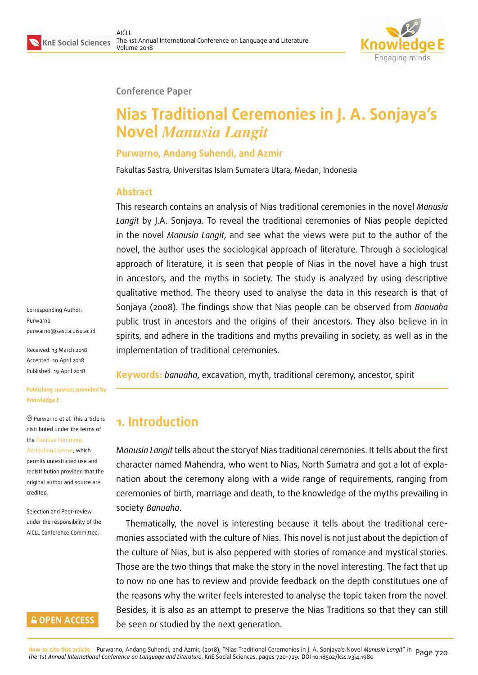

### **Conference Paper**

# **Nias Traditional Ceremonies in J. A. Sonjaya's Novel** *Manusia Langit*

### **Purwarno, Andang Suhendi, and Azmir**

Fakultas Sastra, Universitas Islam Sumatera Utara, Medan, Indonesia

### **Abstract**

This research contains an analysis of Nias traditional ceremonies in the novel *Manusia Langit* by J.A. Sonjaya. To reveal the traditional ceremonies of Nias people depicted in the novel *Manusia Langit*, and see what the views were put to the author of the novel, the author uses the sociological approach of literature. Through a sociological approach of literature, it is seen that people of Nias in the novel have a high trust in ancestors, and the myths in society. The study is analyzed by using descriptive qualitative method. The theory used to analyse the data in this research is that of Sonjaya (2008). The findings show that Nias people can be observed from *Banuaha* public trust in ancestors and the origins of their ancestors. They also believe in in spirits, and adhere in the traditions and myths prevailing in society, as well as in the implementation of traditional ceremonies.

**Keywords:** *banuaha*, excavation, myth, traditional ceremony, ancestor, spirit

# **1. Introduction**

M*anusia Langit* tells about the storyof Nias traditional ceremonies. It tells about the first character named Mahendra, who went to Nias, North Sumatra and got a lot of explanation about the ceremony along with a wide range of requirements, ranging from ceremonies of birth, marriage and death, to the knowledge of the myths prevailing in society *Banuaha*.

Thematically, the novel is interesting because it tells about the traditional ceremonies associated with the culture of Nias. This novel is not just about the depiction of the culture of Nias, but is also peppered with stories of romance and mystical stories. Those are the two things that make the story in the novel interesting. The fact that up to now no one has to review and provide feedback on the depth constitutues one of the reasons why the writer feels interested to analyse the topic taken from the novel. Besides, it is also as an attempt to preserve the Nias Traditions so that they can still be seen or studied by the next generation.

Corresponding Author: Purwarno purwarno@sastra.uisu.ac.id

Received: 13 March 2018 Accepted: 10 April 2018 [Published: 19 April 2018](mailto:purwarno@sastra.uisu.ac.id)

**Publishing services provided by Knowledge E**

Purwarno et al. This article is distributed under the terms of the Creative Commons Attribution License, which permits unrestricted use and redistribution provided that the ori[ginal author and sou](https://creativecommons.org/licenses/by/4.0/)rce are

Selection and Peer-review under the responsibility of the AICLL Conference Committee.

[credited.](https://creativecommons.org/licenses/by/4.0/)

### **GOPEN ACCESS**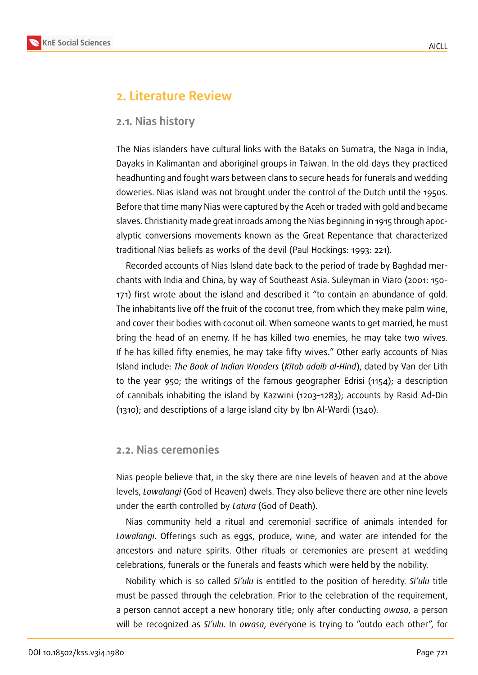

### **2. Literature Review**

#### **2.1. Nias history**

The Nias islanders have cultural links with the Bataks on Sumatra, the Naga in India, Dayaks in Kalimantan and aboriginal groups in Taiwan. In the old days they practiced headhunting and fought wars between clans to secure heads for funerals and wedding doweries. Nias island was not brought under the control of the Dutch until the 1950s. Before that time many Nias were captured by the Aceh or traded with gold and became slaves. Christianity made great inroads among the Nias beginning in 1915 through apocalyptic conversions movements known as the Great Repentance that characterized traditional Nias beliefs as works of the devil (Paul Hockings: 1993: 221).

Recorded accounts of Nias Island date back to the period of trade by Baghdad merchants with India and China, by way of Southeast Asia. Suleyman in Viaro (2001: 150- 171) first wrote about the island and described it "to contain an abundance of gold. The inhabitants live off the fruit of the coconut tree, from which they make palm wine, and cover their bodies with coconut oil. When someone wants to get married, he must bring the head of an enemy. If he has killed two enemies, he may take two wives. If he has killed fifty enemies, he may take fifty wives." Other early accounts of Nias Island include: *The Book of Indian Wonders* (*Kitab adaib al-Hind*), dated by Van der Lith to the year 950; the writings of the famous geographer Edrisi (1154); a description of cannibals inhabiting the island by Kazwini (1203–1283); accounts by Rasid Ad-Din (1310); and descriptions of a large island city by Ibn Al-Wardi (1340).

#### **2.2. Nias ceremonies**

Nias people believe that, in the sky there are nine levels of heaven and at the above levels, *Lowalangi* (God of Heaven) dwels. They also believe there are other nine levels under the earth controlled by *Latura* (God of Death).

Nias community held a ritual and ceremonial sacrifice of animals intended for *Lowalangi*. Offerings such as eggs, produce, wine, and water are intended for the ancestors and nature spirits. Other rituals or ceremonies are present at wedding celebrations, funerals or the funerals and feasts which were held by the nobility.

Nobility which is so called *Si'ulu* is entitled to the position of heredity. *Si'ulu* title must be passed through the celebration. Prior to the celebration of the requirement, a person cannot accept a new honorary title; only after conducting *owasa*, a person will be recognized as *Si'ulu*. In *owasa*, everyone is trying to "outdo each other", for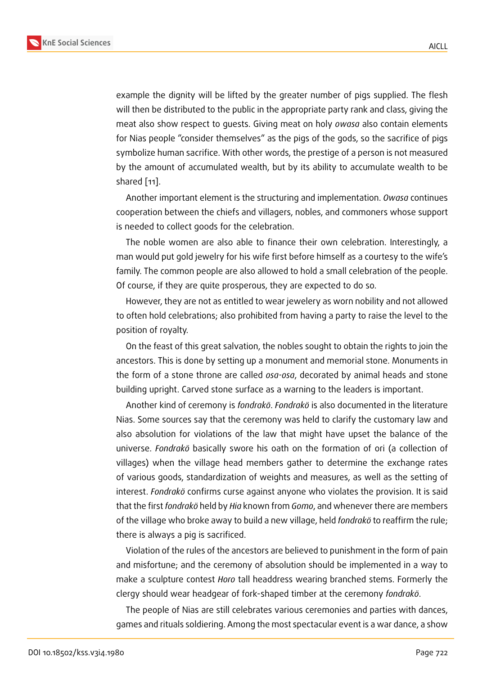example the dignity will be lifted by the greater number of pigs supplied. The flesh will then be distributed to the public in the appropriate party rank and class, giving the meat also show respect to guests. Giving meat on holy *owasa* also contain elements for Nias people "consider themselves" as the pigs of the gods, so the sacrifice of pigs symbolize human sacrifice. With other words, the prestige of a person is not measured by the amount of accumulated wealth, but by its ability to accumulate wealth to be shared [11].

Another important element is the structuring and implementation. *Owasa* continues cooperation between the chiefs and villagers, nobles, and commoners whose support is need[ed](#page-9-0) to collect goods for the celebration.

The noble women are also able to finance their own celebration. Interestingly, a man would put gold jewelry for his wife first before himself as a courtesy to the wife's family. The common people are also allowed to hold a small celebration of the people. Of course, if they are quite prosperous, they are expected to do so.

However, they are not as entitled to wear jewelery as worn nobility and not allowed to often hold celebrations; also prohibited from having a party to raise the level to the position of royalty.

On the feast of this great salvation, the nobles sought to obtain the rights to join the ancestors. This is done by setting up a monument and memorial stone. Monuments in the form of a stone throne are called *osa-osa*, decorated by animal heads and stone building upright. Carved stone surface as a warning to the leaders is important.

Another kind of ceremony is *fondrakö*. *Fondrakö* is also documented in the literature Nias. Some sources say that the ceremony was held to clarify the customary law and also absolution for violations of the law that might have upset the balance of the universe. *Fondrakö* basically swore his oath on the formation of ori (a collection of villages) when the village head members gather to determine the exchange rates of various goods, standardization of weights and measures, as well as the setting of interest. *Fondrakö* confirms curse against anyone who violates the provision. It is said that the first *fondrakö* held by *Hia* known from *Gomo*, and whenever there are members of the village who broke away to build a new village, held *fondrakö* to reaffirm the rule; there is always a pig is sacrificed.

Violation of the rules of the ancestors are believed to punishment in the form of pain and misfortune; and the ceremony of absolution should be implemented in a way to make a sculpture contest *Horo* tall headdress wearing branched stems. Formerly the clergy should wear headgear of fork-shaped timber at the ceremony *fondrakö*.

The people of Nias are still celebrates various ceremonies and parties with dances, games and rituals soldiering. Among the most spectacular event is a war dance, a show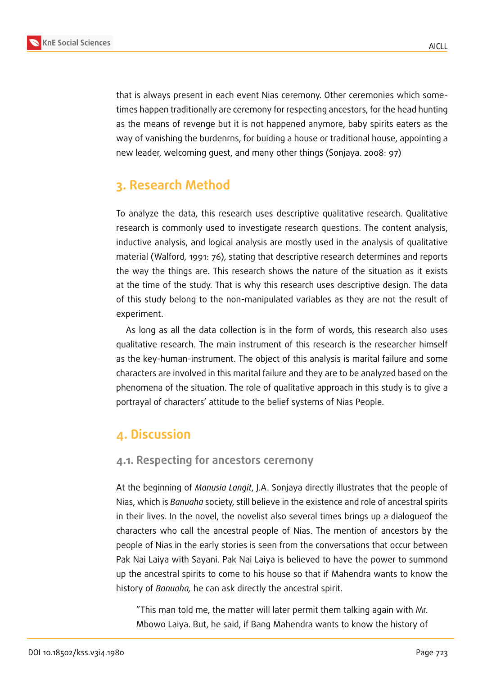

that is always present in each event Nias ceremony. Other ceremonies which sometimes happen traditionally are ceremony for respecting ancestors, for the head hunting as the means of revenge but it is not happened anymore, baby spirits eaters as the way of vanishing the burdenrns, for buiding a house or traditional house, appointing a new leader, welcoming guest, and many other things (Sonjaya. 2008: 97)

# **3. Research Method**

To analyze the data, this research uses descriptive qualitative research. Qualitative research is commonly used to investigate research questions. The content analysis, inductive analysis, and logical analysis are mostly used in the analysis of qualitative material (Walford, 1991: 76), stating that descriptive research determines and reports the way the things are. This research shows the nature of the situation as it exists at the time of the study. That is why this research uses descriptive design. The data of this study belong to the non-manipulated variables as they are not the result of experiment.

As long as all the data collection is in the form of words, this research also uses qualitative research. The main instrument of this research is the researcher himself as the key-human-instrument. The object of this analysis is marital failure and some characters are involved in this marital failure and they are to be analyzed based on the phenomena of the situation. The role of qualitative approach in this study is to give a portrayal of characters' attitude to the belief systems of Nias People.

## **4. Discussion**

### **4.1. Respecting for ancestors ceremony**

At the beginning of *Manusia Langit*, J.A. Sonjaya directly illustrates that the people of Nias, which is *Banuaha* society, still believe in the existence and role of ancestral spirits in their lives. In the novel, the novelist also several times brings up a dialogueof the characters who call the ancestral people of Nias. The mention of ancestors by the people of Nias in the early stories is seen from the conversations that occur between Pak Nai Laiya with Sayani. Pak Nai Laiya is believed to have the power to summond up the ancestral spirits to come to his house so that if Mahendra wants to know the history of *Banuaha,* he can ask directly the ancestral spirit.

"This man told me, the matter will later permit them talking again with Mr. Mbowo Laiya. But, he said, if Bang Mahendra wants to know the history of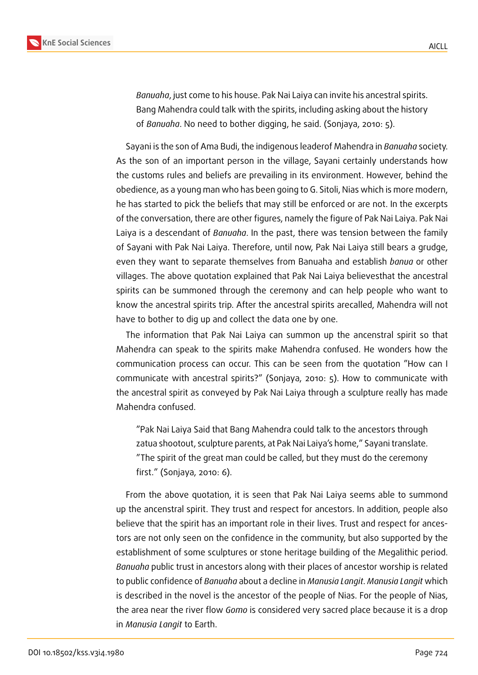

*Banuaha*, just come to his house. Pak Nai Laiya can invite his ancestral spirits. Bang Mahendra could talk with the spirits, including asking about the history of *Banuaha*. No need to bother digging, he said. (Sonjaya, 2010: 5).

Sayani is the son of Ama Budi, the indigenous leaderof Mahendra in *Banuaha* society. As the son of an important person in the village, Sayani certainly understands how the customs rules and beliefs are prevailing in its environment. However, behind the obedience, as a young man who has been going to G. Sitoli, Nias which is more modern, he has started to pick the beliefs that may still be enforced or are not. In the excerpts of the conversation, there are other figures, namely the figure of Pak Nai Laiya. Pak Nai Laiya is a descendant of *Banuaha*. In the past, there was tension between the family of Sayani with Pak Nai Laiya. Therefore, until now, Pak Nai Laiya still bears a grudge, even they want to separate themselves from Banuaha and establish *banua* or other villages. The above quotation explained that Pak Nai Laiya believesthat the ancestral spirits can be summoned through the ceremony and can help people who want to know the ancestral spirits trip. After the ancestral spirits arecalled, Mahendra will not have to bother to dig up and collect the data one by one.

The information that Pak Nai Laiya can summon up the ancenstral spirit so that Mahendra can speak to the spirits make Mahendra confused. He wonders how the communication process can occur. This can be seen from the quotation "How can I communicate with ancestral spirits?" (Sonjaya, 2010: 5). How to communicate with the ancestral spirit as conveyed by Pak Nai Laiya through a sculpture really has made Mahendra confused.

"Pak Nai Laiya Said that Bang Mahendra could talk to the ancestors through zatua shootout, sculpture parents, at Pak Nai Laiya's home," Sayani translate. "The spirit of the great man could be called, but they must do the ceremony first." (Sonjaya, 2010: 6).

From the above quotation, it is seen that Pak Nai Laiya seems able to summond up the ancenstral spirit. They trust and respect for ancestors. In addition, people also believe that the spirit has an important role in their lives. Trust and respect for ancestors are not only seen on the confidence in the community, but also supported by the establishment of some sculptures or stone heritage building of the Megalithic period. *Banuaha* public trust in ancestors along with their places of ancestor worship is related to public confidence of *Banuaha* about a decline in *Manusia Langit*. *Manusia Langit* which is described in the novel is the ancestor of the people of Nias. For the people of Nias, the area near the river flow *Gomo* is considered very sacred place because it is a drop in *Manusia Langit* to Earth.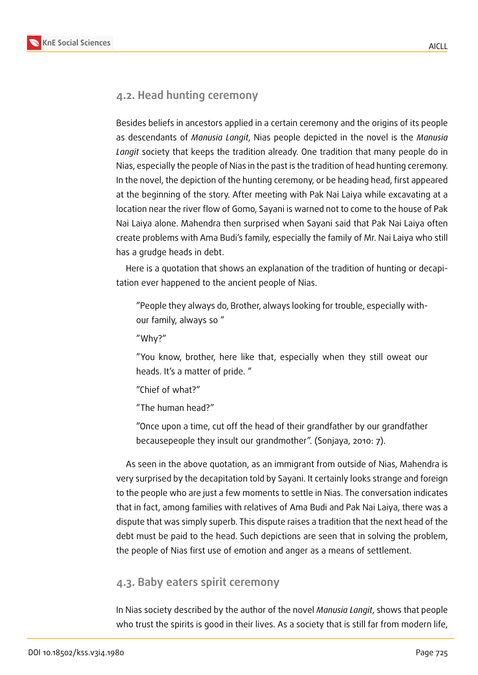

### **4.2. Head hunting ceremony**

Besides beliefs in ancestors applied in a certain ceremony and the origins of its people as descendants of *Manusia Langit*, Nias people depicted in the novel is the *Manusia Langit* society that keeps the tradition already. One tradition that many people do in Nias, especially the people of Nias in the past is the tradition of head hunting ceremony. In the novel, the depiction of the hunting ceremony, or be heading head, first appeared at the beginning of the story. After meeting with Pak Nai Laiya while excavating at a location near the river flow of Gomo, Sayani is warned not to come to the house of Pak Nai Laiya alone. Mahendra then surprised when Sayani said that Pak Nai Laiya often create problems with Ama Budi's family, especially the family of Mr. Nai Laiya who still has a grudge heads in debt.

Here is a quotation that shows an explanation of the tradition of hunting or decapitation ever happened to the ancient people of Nias.

"People they always do, Brother, always looking for trouble, especially withour family, always so "

"Why?"

"You know, brother, here like that, especially when they still oweat our heads. It's a matter of pride. "

"Chief of what?"

"The human head?"

"Once upon a time, cut off the head of their grandfather by our grandfather becausepeople they insult our grandmother". (Sonjaya, 2010: 7).

As seen in the above quotation, as an immigrant from outside of Nias, Mahendra is very surprised by the decapitation told by Sayani. It certainly looks strange and foreign to the people who are just a few moments to settle in Nias. The conversation indicates that in fact, among families with relatives of Ama Budi and Pak Nai Laiya, there was a dispute that was simply superb. This dispute raises a tradition that the next head of the debt must be paid to the head. Such depictions are seen that in solving the problem, the people of Nias first use of emotion and anger as a means of settlement.

### **4.3. Baby eaters spirit ceremony**

In Nias society described by the author of the novel *Manusia Langit*, shows that people who trust the spirits is good in their lives. As a society that is still far from modern life,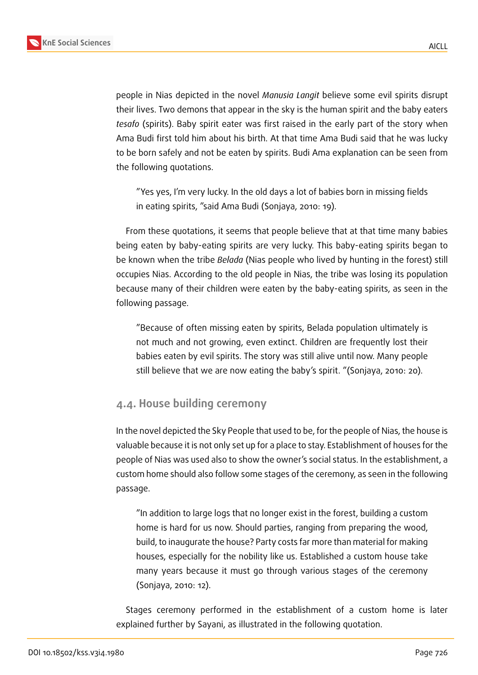

people in Nias depicted in the novel *Manusia Langit* believe some evil spirits disrupt their lives. Two demons that appear in the sky is the human spirit and the baby eaters *tesafo* (spirits). Baby spirit eater was first raised in the early part of the story when Ama Budi first told him about his birth. At that time Ama Budi said that he was lucky to be born safely and not be eaten by spirits. Budi Ama explanation can be seen from the following quotations.

"Yes yes, I'm very lucky. In the old days a lot of babies born in missing fields in eating spirits, "said Ama Budi (Sonjaya, 2010: 19).

From these quotations, it seems that people believe that at that time many babies being eaten by baby-eating spirits are very lucky. This baby-eating spirits began to be known when the tribe *Belada* (Nias people who lived by hunting in the forest) still occupies Nias. According to the old people in Nias, the tribe was losing its population because many of their children were eaten by the baby-eating spirits, as seen in the following passage.

"Because of often missing eaten by spirits, Belada population ultimately is not much and not growing, even extinct. Children are frequently lost their babies eaten by evil spirits. The story was still alive until now. Many people still believe that we are now eating the baby's spirit. "(Sonjaya, 2010: 20).

### **4.4. House building ceremony**

In the novel depicted the Sky People that used to be, for the people of Nias, the house is valuable because it is not only set up for a place to stay. Establishment of houses for the people of Nias was used also to show the owner's social status. In the establishment, a custom home should also follow some stages of the ceremony, as seen in the following passage.

"In addition to large logs that no longer exist in the forest, building a custom home is hard for us now. Should parties, ranging from preparing the wood, build, to inaugurate the house? Party costs far more than material for making houses, especially for the nobility like us. Established a custom house take many years because it must go through various stages of the ceremony (Sonjaya, 2010: 12).

Stages ceremony performed in the establishment of a custom home is later explained further by Sayani, as illustrated in the following quotation.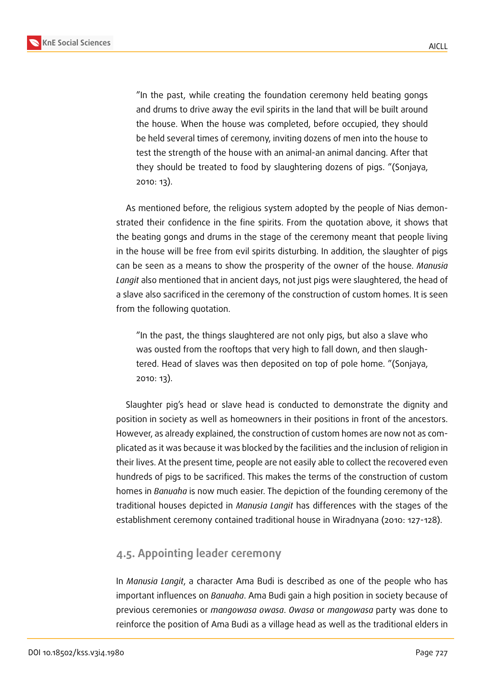

"In the past, while creating the foundation ceremony held beating gongs and drums to drive away the evil spirits in the land that will be built around the house. When the house was completed, before occupied, they should be held several times of ceremony, inviting dozens of men into the house to test the strength of the house with an animal-an animal dancing. After that they should be treated to food by slaughtering dozens of pigs. "(Sonjaya, 2010: 13).

As mentioned before, the religious system adopted by the people of Nias demonstrated their confidence in the fine spirits. From the quotation above, it shows that the beating gongs and drums in the stage of the ceremony meant that people living in the house will be free from evil spirits disturbing. In addition, the slaughter of pigs can be seen as a means to show the prosperity of the owner of the house. *Manusia Langit* also mentioned that in ancient days, not just pigs were slaughtered, the head of a slave also sacrificed in the ceremony of the construction of custom homes. It is seen from the following quotation.

"In the past, the things slaughtered are not only pigs, but also a slave who was ousted from the rooftops that very high to fall down, and then slaughtered. Head of slaves was then deposited on top of pole home. "(Sonjaya, 2010: 13).

Slaughter pig's head or slave head is conducted to demonstrate the dignity and position in society as well as homeowners in their positions in front of the ancestors. However, as already explained, the construction of custom homes are now not as complicated as it was because it was blocked by the facilities and the inclusion of religion in their lives. At the present time, people are not easily able to collect the recovered even hundreds of pigs to be sacrificed. This makes the terms of the construction of custom homes in *Banuaha* is now much easier. The depiction of the founding ceremony of the traditional houses depicted in *Manusia Langit* has differences with the stages of the establishment ceremony contained traditional house in Wiradnyana (2010: 127-128).

### **4.5. Appointing leader ceremony**

In *Manusia Langit*, a character Ama Budi is described as one of the people who has important influences on *Banuaha*. Ama Budi gain a high position in society because of previous ceremonies or *mangowasa owasa*. *Owasa* or *mangowasa* party was done to reinforce the position of Ama Budi as a village head as well as the traditional elders in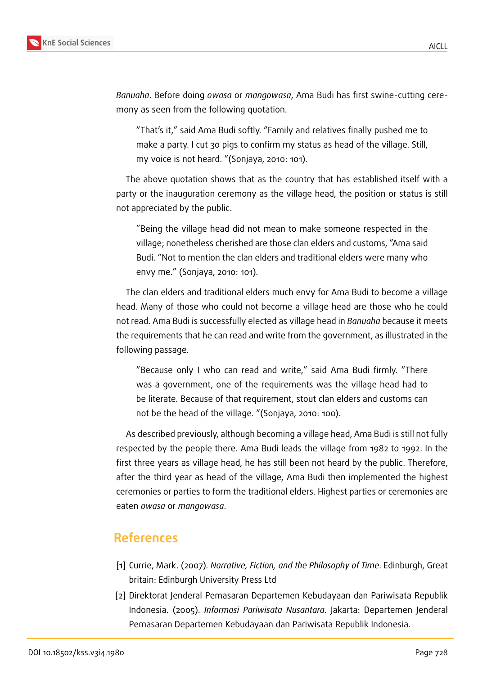

*Banuaha*. Before doing *owasa* or *mangowasa*, Ama Budi has first swine-cutting ceremony as seen from the following quotation.

"That's it," said Ama Budi softly. "Family and relatives finally pushed me to make a party. I cut 30 pigs to confirm my status as head of the village. Still, my voice is not heard. "(Sonjaya, 2010: 101).

The above quotation shows that as the country that has established itself with a party or the inauguration ceremony as the village head, the position or status is still not appreciated by the public.

"Being the village head did not mean to make someone respected in the village; nonetheless cherished are those clan elders and customs, "Ama said Budi. "Not to mention the clan elders and traditional elders were many who envy me." (Sonjaya, 2010: 101).

The clan elders and traditional elders much envy for Ama Budi to become a village head. Many of those who could not become a village head are those who he could not read. Ama Budi is successfully elected as village head in *Banuaha* because it meets the requirements that he can read and write from the government, as illustrated in the following passage.

"Because only I who can read and write," said Ama Budi firmly. "There was a government, one of the requirements was the village head had to be literate. Because of that requirement, stout clan elders and customs can not be the head of the village. "(Sonjaya, 2010: 100).

As described previously, although becoming a village head, Ama Budi is still not fully respected by the people there. Ama Budi leads the village from 1982 to 1992. In the first three years as village head, he has still been not heard by the public. Therefore, after the third year as head of the village, Ama Budi then implemented the highest ceremonies or parties to form the traditional elders. Highest parties or ceremonies are eaten *owasa* or *mangowasa*.

## **References**

- [1] Currie, Mark. (2007). *Narrative, Fiction, and the Philosophy of Time*. Edinburgh, Great britain: Edinburgh University Press Ltd
- [2] Direktorat Jenderal Pemasaran Departemen Kebudayaan dan Pariwisata Republik Indonesia. (2005). *Informasi Pariwisata Nusantara*. Jakarta: Departemen Jenderal Pemasaran Departemen Kebudayaan dan Pariwisata Republik Indonesia.